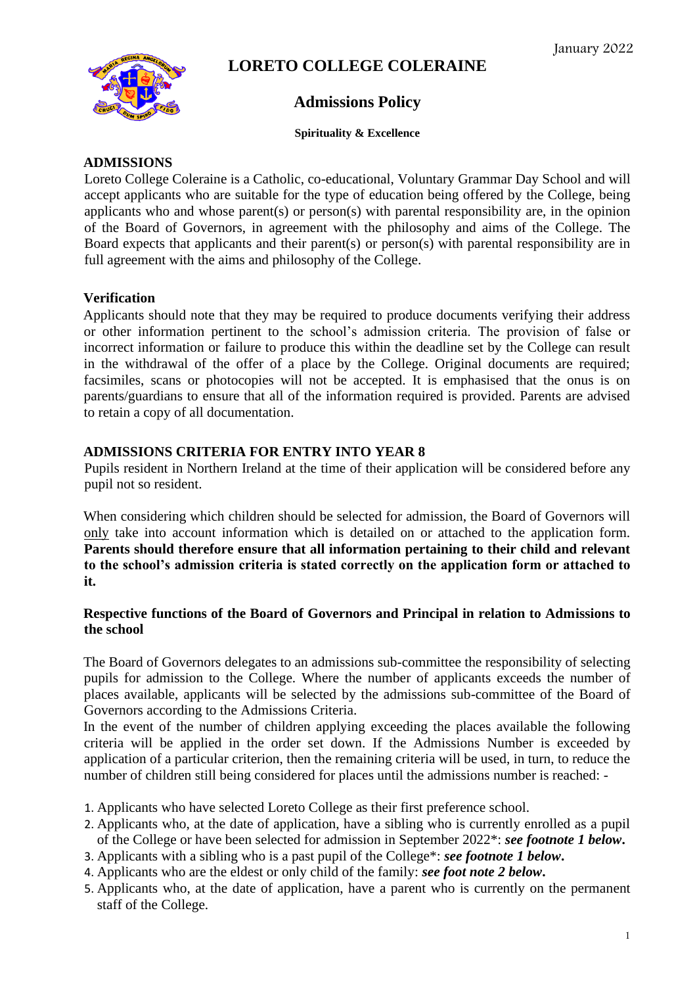

# **LORETO COLLEGE COLERAINE**

## **Admissions Policy**

#### **Spirituality & Excellence**

## **ADMISSIONS**

Loreto College Coleraine is a Catholic, co-educational, Voluntary Grammar Day School and will accept applicants who are suitable for the type of education being offered by the College, being applicants who and whose parent(s) or person(s) with parental responsibility are, in the opinion of the Board of Governors, in agreement with the philosophy and aims of the College. The Board expects that applicants and their parent(s) or person(s) with parental responsibility are in full agreement with the aims and philosophy of the College.

## **Verification**

Applicants should note that they may be required to produce documents verifying their address or other information pertinent to the school's admission criteria. The provision of false or incorrect information or failure to produce this within the deadline set by the College can result in the withdrawal of the offer of a place by the College. Original documents are required; facsimiles, scans or photocopies will not be accepted. It is emphasised that the onus is on parents/guardians to ensure that all of the information required is provided. Parents are advised to retain a copy of all documentation.

#### **ADMISSIONS CRITERIA FOR ENTRY INTO YEAR 8**

Pupils resident in Northern Ireland at the time of their application will be considered before any pupil not so resident.

When considering which children should be selected for admission, the Board of Governors will only take into account information which is detailed on or attached to the application form. **Parents should therefore ensure that all information pertaining to their child and relevant to the school's admission criteria is stated correctly on the application form or attached to it.**

## **Respective functions of the Board of Governors and Principal in relation to Admissions to the school**

The Board of Governors delegates to an admissions sub-committee the responsibility of selecting pupils for admission to the College. Where the number of applicants exceeds the number of places available, applicants will be selected by the admissions sub-committee of the Board of Governors according to the Admissions Criteria.

In the event of the number of children applying exceeding the places available the following criteria will be applied in the order set down. If the Admissions Number is exceeded by application of a particular criterion, then the remaining criteria will be used, in turn, to reduce the number of children still being considered for places until the admissions number is reached: -

- 1. Applicants who have selected Loreto College as their first preference school.
- 2. Applicants who, at the date of application, have a sibling who is currently enrolled as a pupil of the College or have been selected for admission in September 2022\*: *see footnote 1 below***.**
- 3. Applicants with a sibling who is a past pupil of the College\*: *see footnote 1 below***.**
- 4. Applicants who are the eldest or only child of the family: *see foot note 2 below***.**
- 5. Applicants who, at the date of application, have a parent who is currently on the permanent staff of the College.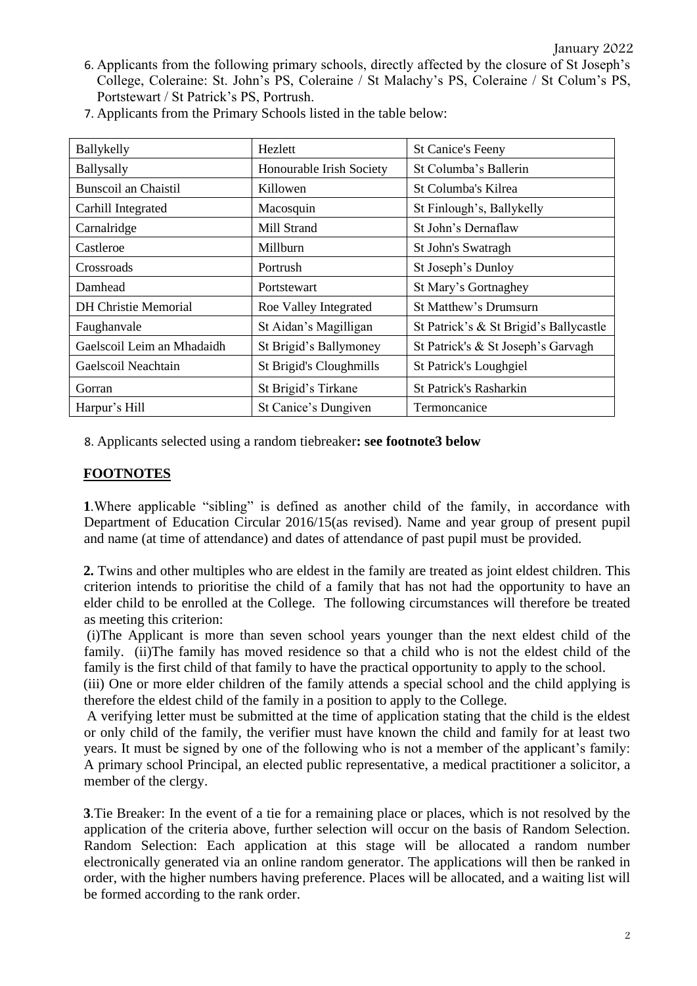6. Applicants from the following primary schools, directly affected by the closure of St Joseph's College, Coleraine: St. John's PS, Coleraine / St Malachy's PS, Coleraine / St Colum's PS, Portstewart / St Patrick's PS, Portrush.

| Ballykelly                  | Hezlett                  | <b>St Canice's Feeny</b>               |  |
|-----------------------------|--------------------------|----------------------------------------|--|
| Ballysally                  | Honourable Irish Society | St Columba's Ballerin                  |  |
| <b>Bunscoil an Chaistil</b> | Killowen                 | St Columba's Kilrea                    |  |
| Carhill Integrated          | Macosquin                | St Finlough's, Ballykelly              |  |
| Carnalridge                 | Mill Strand              | St John's Dernaflaw                    |  |
| Castleroe                   | Millburn                 | St John's Swatragh                     |  |
| Crossroads                  | Portrush                 | St Joseph's Dunloy                     |  |
| Damhead                     | Portstewart              | St Mary's Gortnaghey                   |  |
| <b>DH Christie Memorial</b> | Roe Valley Integrated    | St Matthew's Drumsurn                  |  |
| Faughanvale                 | St Aidan's Magilligan    | St Patrick's & St Brigid's Ballycastle |  |
| Gaelscoil Leim an Mhadaidh  | St Brigid's Ballymoney   | St Patrick's & St Joseph's Garvagh     |  |
| Gaelscoil Neachtain         | St Brigid's Cloughmills  | St Patrick's Loughgiel                 |  |
| Gorran                      | St Brigid's Tirkane      | <b>St Patrick's Rasharkin</b>          |  |
| Harpur's Hill               | St Canice's Dungiven     | Termoncanice                           |  |

7. Applicants from the Primary Schools listed in the table below:

8. Applicants selected using a random tiebreaker**: see footnote3 below** 

#### **FOOTNOTES**

**1**.Where applicable "sibling" is defined as another child of the family, in accordance with Department of Education Circular 2016/15(as revised). Name and year group of present pupil and name (at time of attendance) and dates of attendance of past pupil must be provided.

**2.** Twins and other multiples who are eldest in the family are treated as joint eldest children. This criterion intends to prioritise the child of a family that has not had the opportunity to have an elder child to be enrolled at the College. The following circumstances will therefore be treated as meeting this criterion:

(i)The Applicant is more than seven school years younger than the next eldest child of the family. (ii)The family has moved residence so that a child who is not the eldest child of the family is the first child of that family to have the practical opportunity to apply to the school.

(iii) One or more elder children of the family attends a special school and the child applying is therefore the eldest child of the family in a position to apply to the College.

A verifying letter must be submitted at the time of application stating that the child is the eldest or only child of the family, the verifier must have known the child and family for at least two years. It must be signed by one of the following who is not a member of the applicant's family: A primary school Principal, an elected public representative, a medical practitioner a solicitor, a member of the clergy.

**3**.Tie Breaker: In the event of a tie for a remaining place or places, which is not resolved by the application of the criteria above, further selection will occur on the basis of Random Selection. Random Selection: Each application at this stage will be allocated a random number electronically generated via an online random generator. The applications will then be ranked in order, with the higher numbers having preference. Places will be allocated, and a waiting list will be formed according to the rank order.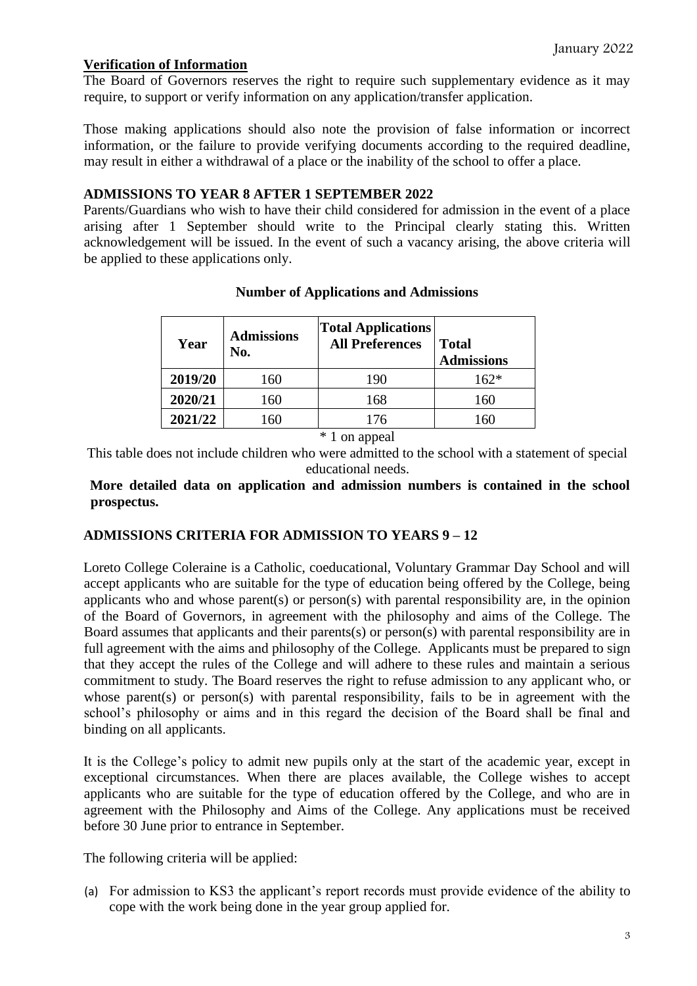## **Verification of Information**

The Board of Governors reserves the right to require such supplementary evidence as it may require, to support or verify information on any application/transfer application.

Those making applications should also note the provision of false information or incorrect information, or the failure to provide verifying documents according to the required deadline, may result in either a withdrawal of a place or the inability of the school to offer a place.

## **ADMISSIONS TO YEAR 8 AFTER 1 SEPTEMBER 2022**

Parents/Guardians who wish to have their child considered for admission in the event of a place arising after 1 September should write to the Principal clearly stating this. Written acknowledgement will be issued. In the event of such a vacancy arising, the above criteria will be applied to these applications only.

| Year    | <b>Admissions</b><br>No. | <b>Total Applications</b><br><b>All Preferences</b> | <b>Total</b><br><b>Admissions</b> |
|---------|--------------------------|-----------------------------------------------------|-----------------------------------|
| 2019/20 | 160                      | 190                                                 | $162*$                            |
| 2020/21 | 160                      | 168                                                 | 160                               |
| 2021/22 | 160                      | 176                                                 | 160                               |

#### **Number of Applications and Admissions**

\* 1 on appeal

This table does not include children who were admitted to the school with a statement of special educational needs.

## **More detailed data on application and admission numbers is contained in the school prospectus.**

## **ADMISSIONS CRITERIA FOR ADMISSION TO YEARS 9 – 12**

Loreto College Coleraine is a Catholic, coeducational, Voluntary Grammar Day School and will accept applicants who are suitable for the type of education being offered by the College, being applicants who and whose parent(s) or person(s) with parental responsibility are, in the opinion of the Board of Governors, in agreement with the philosophy and aims of the College. The Board assumes that applicants and their parents(s) or person(s) with parental responsibility are in full agreement with the aims and philosophy of the College. Applicants must be prepared to sign that they accept the rules of the College and will adhere to these rules and maintain a serious commitment to study. The Board reserves the right to refuse admission to any applicant who, or whose parent(s) or person(s) with parental responsibility, fails to be in agreement with the school's philosophy or aims and in this regard the decision of the Board shall be final and binding on all applicants.

It is the College's policy to admit new pupils only at the start of the academic year, except in exceptional circumstances. When there are places available, the College wishes to accept applicants who are suitable for the type of education offered by the College, and who are in agreement with the Philosophy and Aims of the College. Any applications must be received before 30 June prior to entrance in September.

The following criteria will be applied:

(a) For admission to KS3 the applicant's report records must provide evidence of the ability to cope with the work being done in the year group applied for.